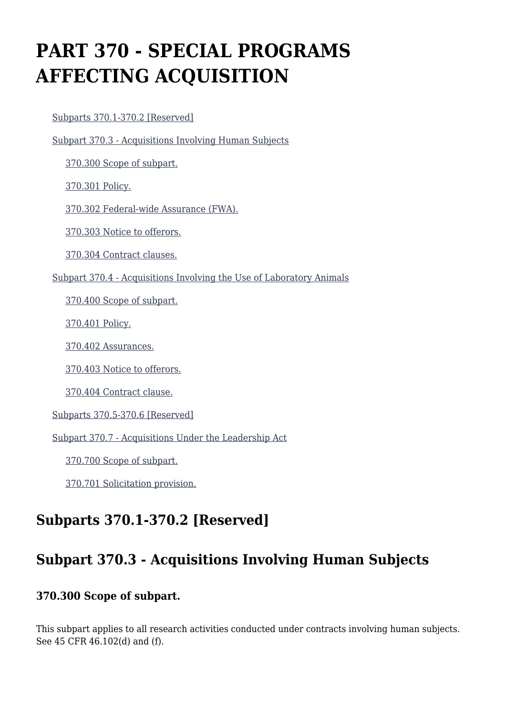# **PART 370 - SPECIAL PROGRAMS AFFECTING ACQUISITION**

#### [Subparts 370.1-370.2 \[Reserved\]](https://origin-www.acquisition.gov/%5Brp:link:hhsar-part-370%5D#Subpart_370_1_T48_40110381)

[Subpart 370.3 - Acquisitions Involving Human Subjects](https://origin-www.acquisition.gov/%5Brp:link:hhsar-part-370%5D#Subpart_370_3_T48_40110382)

[370.300 Scope of subpart.](https://origin-www.acquisition.gov/%5Brp:link:hhsar-part-370%5D#Section_370_300_T48_4011038211)

[370.301 Policy.](https://origin-www.acquisition.gov/%5Brp:link:hhsar-part-370%5D#Section_370_301_T48_4011038212)

[370.302 Federal-wide Assurance \(FWA\).](https://origin-www.acquisition.gov/%5Brp:link:hhsar-part-370%5D#Section_370_302_T48_4011038213)

[370.303 Notice to offerors.](https://origin-www.acquisition.gov/%5Brp:link:hhsar-part-370%5D#Section_370_303_T48_4011038214)

[370.304 Contract clauses.](https://origin-www.acquisition.gov/%5Brp:link:hhsar-part-370%5D#Section_370_304_T48_4011038215)

[Subpart 370.4 - Acquisitions Involving the Use of Laboratory Animals](https://origin-www.acquisition.gov/%5Brp:link:hhsar-part-370%5D#Subpart_370_4_T48_40110383)

[370.400 Scope of subpart.](https://origin-www.acquisition.gov/%5Brp:link:hhsar-part-370%5D#Section_370_400_T48_4011038311)

[370.401 Policy.](https://origin-www.acquisition.gov/%5Brp:link:hhsar-part-370%5D#Section_370_401_T48_4011038312)

[370.402 Assurances.](https://origin-www.acquisition.gov/%5Brp:link:hhsar-part-370%5D#Section_370_402_T48_4011038313)

[370.403 Notice to offerors.](https://origin-www.acquisition.gov/%5Brp:link:hhsar-part-370%5D#Section_370_403_T48_4011038314)

[370.404 Contract clause.](https://origin-www.acquisition.gov/%5Brp:link:hhsar-part-370%5D#Section_370_404_T48_4011038315)

[Subparts 370.5-370.6 \[Reserved\]](https://origin-www.acquisition.gov/%5Brp:link:hhsar-part-370%5D#Subpart_370_5_T48_40110384)

[Subpart 370.7 - Acquisitions Under the Leadership Act](https://origin-www.acquisition.gov/%5Brp:link:hhsar-part-370%5D#Subpart_370_7_T48_40110385)

[370.700 Scope of subpart.](https://origin-www.acquisition.gov/%5Brp:link:hhsar-part-370%5D#Section_370_700_T48_4011038511)

[370.701 Solicitation provision.](https://origin-www.acquisition.gov/%5Brp:link:hhsar-part-370%5D#Section_370_701_T48_4011038512)

## **Subparts 370.1-370.2 [Reserved]**

### **Subpart 370.3 - Acquisitions Involving Human Subjects**

#### **370.300 Scope of subpart.**

This subpart applies to all research activities conducted under contracts involving human subjects. See 45 CFR 46.102(d) and (f).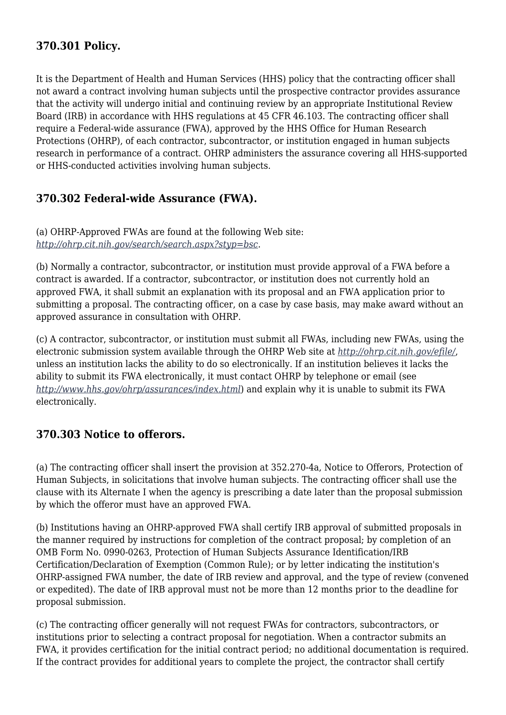### **370.301 Policy.**

It is the Department of Health and Human Services (HHS) policy that the contracting officer shall not award a contract involving human subjects until the prospective contractor provides assurance that the activity will undergo initial and continuing review by an appropriate Institutional Review Board (IRB) in accordance with HHS regulations at 45 CFR 46.103. The contracting officer shall require a Federal-wide assurance (FWA), approved by the HHS Office for Human Research Protections (OHRP), of each contractor, subcontractor, or institution engaged in human subjects research in performance of a contract. OHRP administers the assurance covering all HHS-supported or HHS-conducted activities involving human subjects.

#### **370.302 Federal-wide Assurance (FWA).**

(a) OHRP-Approved FWAs are found at the following Web site: *<http://ohrp.cit.nih.gov/search/search.aspx?styp=bsc>*.

(b) Normally a contractor, subcontractor, or institution must provide approval of a FWA before a contract is awarded. If a contractor, subcontractor, or institution does not currently hold an approved FWA, it shall submit an explanation with its proposal and an FWA application prior to submitting a proposal. The contracting officer, on a case by case basis, may make award without an approved assurance in consultation with OHRP.

(c) A contractor, subcontractor, or institution must submit all FWAs, including new FWAs, using the electronic submission system available through the OHRP Web site at *<http://ohrp.cit.nih.gov/efile/>*, unless an institution lacks the ability to do so electronically. If an institution believes it lacks the ability to submit its FWA electronically, it must contact OHRP by telephone or email (see *<http://www.hhs.gov/ohrp/assurances/index.html>*) and explain why it is unable to submit its FWA electronically.

#### **370.303 Notice to offerors.**

(a) The contracting officer shall insert the provision at 352.270-4a, Notice to Offerors, Protection of Human Subjects, in solicitations that involve human subjects. The contracting officer shall use the clause with its Alternate I when the agency is prescribing a date later than the proposal submission by which the offeror must have an approved FWA.

(b) Institutions having an OHRP-approved FWA shall certify IRB approval of submitted proposals in the manner required by instructions for completion of the contract proposal; by completion of an OMB Form No. 0990-0263, Protection of Human Subjects Assurance Identification/IRB Certification/Declaration of Exemption (Common Rule); or by letter indicating the institution's OHRP-assigned FWA number, the date of IRB review and approval, and the type of review (convened or expedited). The date of IRB approval must not be more than 12 months prior to the deadline for proposal submission.

(c) The contracting officer generally will not request FWAs for contractors, subcontractors, or institutions prior to selecting a contract proposal for negotiation. When a contractor submits an FWA, it provides certification for the initial contract period; no additional documentation is required. If the contract provides for additional years to complete the project, the contractor shall certify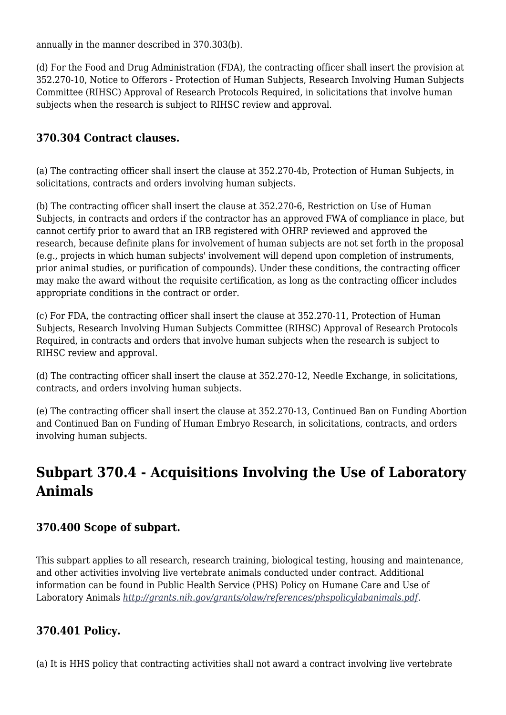annually in the manner described in 370.303(b).

(d) For the Food and Drug Administration (FDA), the contracting officer shall insert the provision at 352.270-10, Notice to Offerors - Protection of Human Subjects, Research Involving Human Subjects Committee (RIHSC) Approval of Research Protocols Required, in solicitations that involve human subjects when the research is subject to RIHSC review and approval.

#### **370.304 Contract clauses.**

(a) The contracting officer shall insert the clause at 352.270-4b, Protection of Human Subjects, in solicitations, contracts and orders involving human subjects.

(b) The contracting officer shall insert the clause at 352.270-6, Restriction on Use of Human Subjects, in contracts and orders if the contractor has an approved FWA of compliance in place, but cannot certify prior to award that an IRB registered with OHRP reviewed and approved the research, because definite plans for involvement of human subjects are not set forth in the proposal (e.g., projects in which human subjects' involvement will depend upon completion of instruments, prior animal studies, or purification of compounds). Under these conditions, the contracting officer may make the award without the requisite certification, as long as the contracting officer includes appropriate conditions in the contract or order.

(c) For FDA, the contracting officer shall insert the clause at 352.270-11, Protection of Human Subjects, Research Involving Human Subjects Committee (RIHSC) Approval of Research Protocols Required, in contracts and orders that involve human subjects when the research is subject to RIHSC review and approval.

(d) The contracting officer shall insert the clause at 352.270-12, Needle Exchange, in solicitations, contracts, and orders involving human subjects.

(e) The contracting officer shall insert the clause at 352.270-13, Continued Ban on Funding Abortion and Continued Ban on Funding of Human Embryo Research, in solicitations, contracts, and orders involving human subjects.

### **Subpart 370.4 - Acquisitions Involving the Use of Laboratory Animals**

#### **370.400 Scope of subpart.**

This subpart applies to all research, research training, biological testing, housing and maintenance, and other activities involving live vertebrate animals conducted under contract. Additional information can be found in Public Health Service (PHS) Policy on Humane Care and Use of Laboratory Animals *<http://grants.nih.gov/grants/olaw/references/phspolicylabanimals.pdf>*.

#### **370.401 Policy.**

(a) It is HHS policy that contracting activities shall not award a contract involving live vertebrate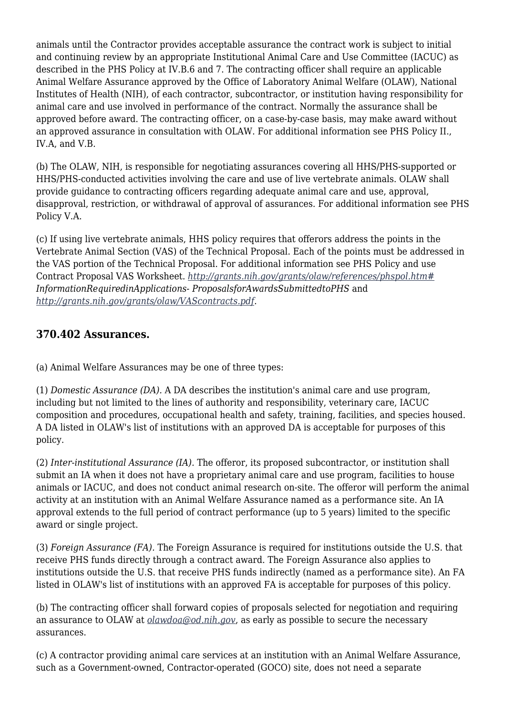animals until the Contractor provides acceptable assurance the contract work is subject to initial and continuing review by an appropriate Institutional Animal Care and Use Committee (IACUC) as described in the PHS Policy at IV.B.6 and 7. The contracting officer shall require an applicable Animal Welfare Assurance approved by the Office of Laboratory Animal Welfare (OLAW), National Institutes of Health (NIH), of each contractor, subcontractor, or institution having responsibility for animal care and use involved in performance of the contract. Normally the assurance shall be approved before award. The contracting officer, on a case-by-case basis, may make award without an approved assurance in consultation with OLAW. For additional information see PHS Policy II., IV.A, and V.B.

(b) The OLAW, NIH, is responsible for negotiating assurances covering all HHS/PHS-supported or HHS/PHS-conducted activities involving the care and use of live vertebrate animals. OLAW shall provide guidance to contracting officers regarding adequate animal care and use, approval, disapproval, restriction, or withdrawal of approval of assurances. For additional information see PHS Policy V.A.

(c) If using live vertebrate animals, HHS policy requires that offerors address the points in the Vertebrate Animal Section (VAS) of the Technical Proposal. Each of the points must be addressed in the VAS portion of the Technical Proposal. For additional information see PHS Policy and use Contract Proposal VAS Worksheet. *<http://grants.nih.gov/grants/olaw/references/phspol.htm#> InformationRequiredinApplications- ProposalsforAwardsSubmittedtoPHS* and *<http://grants.nih.gov/grants/olaw/VAScontracts.pdf>*.

#### **370.402 Assurances.**

(a) Animal Welfare Assurances may be one of three types:

(1) *Domestic Assurance (DA).* A DA describes the institution's animal care and use program, including but not limited to the lines of authority and responsibility, veterinary care, IACUC composition and procedures, occupational health and safety, training, facilities, and species housed. A DA listed in OLAW's list of institutions with an approved DA is acceptable for purposes of this policy.

(2) *Inter-institutional Assurance (IA).* The offeror, its proposed subcontractor, or institution shall submit an IA when it does not have a proprietary animal care and use program, facilities to house animals or IACUC, and does not conduct animal research on-site. The offeror will perform the animal activity at an institution with an Animal Welfare Assurance named as a performance site. An IA approval extends to the full period of contract performance (up to 5 years) limited to the specific award or single project.

(3) *Foreign Assurance (FA).* The Foreign Assurance is required for institutions outside the U.S. that receive PHS funds directly through a contract award. The Foreign Assurance also applies to institutions outside the U.S. that receive PHS funds indirectly (named as a performance site). An FA listed in OLAW's list of institutions with an approved FA is acceptable for purposes of this policy.

(b) The contracting officer shall forward copies of proposals selected for negotiation and requiring an assurance to OLAW at *[olawdoa@od.nih.gov](mailto:olawdoa@od.nih.gov)*, as early as possible to secure the necessary assurances.

(c) A contractor providing animal care services at an institution with an Animal Welfare Assurance, such as a Government-owned, Contractor-operated (GOCO) site, does not need a separate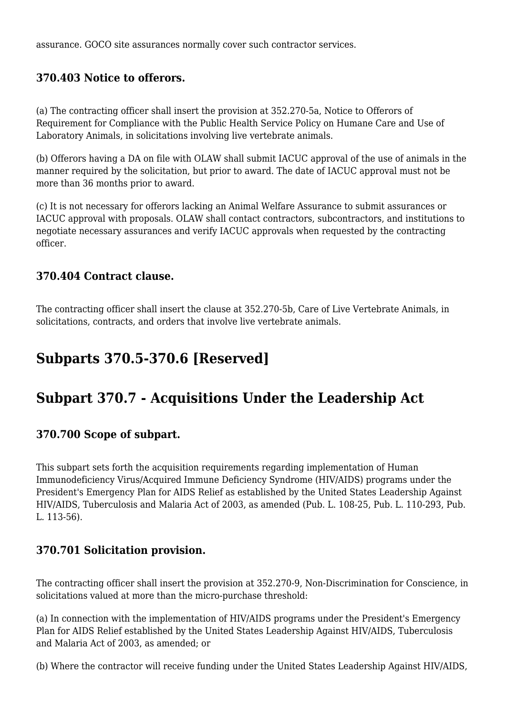assurance. GOCO site assurances normally cover such contractor services.

#### **370.403 Notice to offerors.**

(a) The contracting officer shall insert the provision at 352.270-5a, Notice to Offerors of Requirement for Compliance with the Public Health Service Policy on Humane Care and Use of Laboratory Animals, in solicitations involving live vertebrate animals.

(b) Offerors having a DA on file with OLAW shall submit IACUC approval of the use of animals in the manner required by the solicitation, but prior to award. The date of IACUC approval must not be more than 36 months prior to award.

(c) It is not necessary for offerors lacking an Animal Welfare Assurance to submit assurances or IACUC approval with proposals. OLAW shall contact contractors, subcontractors, and institutions to negotiate necessary assurances and verify IACUC approvals when requested by the contracting officer.

#### **370.404 Contract clause.**

The contracting officer shall insert the clause at 352.270-5b, Care of Live Vertebrate Animals, in solicitations, contracts, and orders that involve live vertebrate animals.

## **Subparts 370.5-370.6 [Reserved]**

### **Subpart 370.7 - Acquisitions Under the Leadership Act**

#### **370.700 Scope of subpart.**

This subpart sets forth the acquisition requirements regarding implementation of Human Immunodeficiency Virus/Acquired Immune Deficiency Syndrome (HIV/AIDS) programs under the President's Emergency Plan for AIDS Relief as established by the United States Leadership Against HIV/AIDS, Tuberculosis and Malaria Act of 2003, as amended (Pub. L. 108-25, Pub. L. 110-293, Pub. L. 113-56).

#### **370.701 Solicitation provision.**

The contracting officer shall insert the provision at 352.270-9, Non-Discrimination for Conscience, in solicitations valued at more than the micro-purchase threshold:

(a) In connection with the implementation of HIV/AIDS programs under the President's Emergency Plan for AIDS Relief established by the United States Leadership Against HIV/AIDS, Tuberculosis and Malaria Act of 2003, as amended; or

(b) Where the contractor will receive funding under the United States Leadership Against HIV/AIDS,